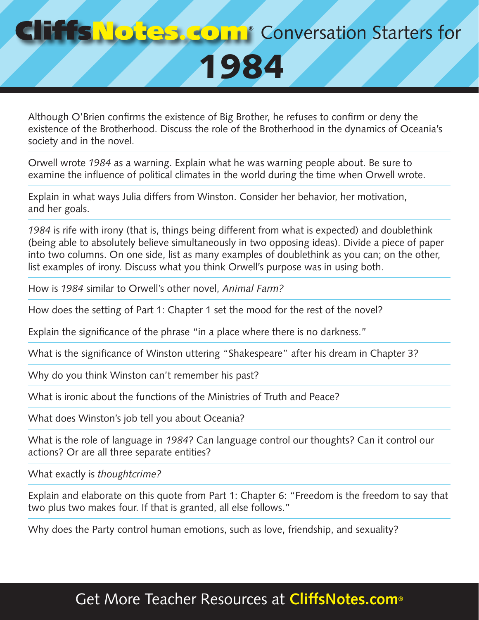## **Conversation Starters for** 1984

Although O'Brien confirms the existence of Big Brother, he refuses to confirm or deny the existence of the Brotherhood. Discuss the role of the Brotherhood in the dynamics of Oceania's society and in the novel.

Orwell wrote *1984* as a warning. Explain what he was warning people about. Be sure to examine the influence of political climates in the world during the time when Orwell wrote.

Explain in what ways Julia differs from Winston. Consider her behavior, her motivation, and her goals.

*1984* is rife with irony (that is, things being different from what is expected) and doublethink (being able to absolutely believe simultaneously in two opposing ideas). Divide a piece of paper into two columns. On one side, list as many examples of doublethink as you can; on the other, list examples of irony. Discuss what you think Orwell's purpose was in using both.

How is *1984* similar to Orwell's other novel, *Animal Farm?*

How does the setting of Part 1: Chapter 1 set the mood for the rest of the novel?

Explain the significance of the phrase "in a place where there is no darkness."

What is the significance of Winston uttering "Shakespeare" after his dream in Chapter 3?

Why do you think Winston can't remember his past?

What is ironic about the functions of the Ministries of Truth and Peace?

What does Winston's job tell you about Oceania?

What is the role of language in *1984*? Can language control our thoughts? Can it control our actions? Or are all three separate entities?

What exactly is *thoughtcrime?*

Explain and elaborate on this quote from Part 1: Chapter 6: "Freedom is the freedom to say that two plus two makes four. If that is granted, all else follows."

Why does the Party control human emotions, such as love, friendship, and sexuality?

## Get More Teacher Resources at **CliffsNotes.com®**